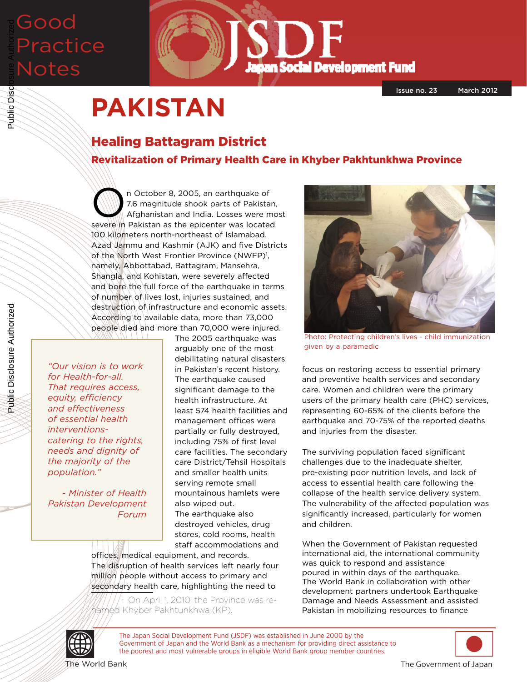# Good Practice Notes Public Disclosure Authorized



# **PAKISTAN**

# Healing Battagram District

Revitalization of Primary Health Care in Khyber Pakhtunkhwa Province

The October 8, 2005, an earthquake of<br>
T.6 magnitude shook parts of Pakista<br>
Afghanistan and India. Losses were m 7.6 magnitude shook parts of Pakistan, Afghanistan and India. Losses were most severe in Pakistan as the epicenter was located 100 kilometers north-northeast of Islamabad. Azad Jammu and Kashmir (AJK) and five Districts of the North West Frontier Province (NWFP)<sup>1</sup>, namely, Abbottabad, Battagram, Mansehra, Shangla, and Kohistan, were severely affected and bore the full force of the earthquake in terms of number of lives lost, injuries sustained, and destruction of infrastructure and economic assets. According to available data, more than 73,000 people died and more than 70,000 were injured.

*"Our vision is to work for Health-for-all. That requires access, equity, efficiency and effectiveness of essential health interventionscatering to the rights, needs and dignity of the majority of the population."* 

*- Minister of Health Pakistan Development Forum*

The 2005 earthquake was arguably one of the most debilitating natural disasters in Pakistan's recent history. The earthquake caused significant damage to the health infrastructure. At least 574 health facilities and management offices were partially or fully destroyed, including 75% of first level care facilities. The secondary care District/Tehsil Hospitals and smaller health units serving remote small mountainous hamlets were also wiped out. The earthquake also destroyed vehicles, drug stores, cold rooms, health staff accommodations and

offices, medical equipment, and records. The disruption of health services left nearly four million people without access to primary and secondary health care, highlighting the need to

1 On April 1, 2010, the Province was re-666 Khyber Pakhtunkhwa (KP).



Photo: Protecting children's lives - child immunization given by a paramedic

focus on restoring access to essential primary and preventive health services and secondary care. Women and children were the primary users of the primary health care (PHC) services, representing 60-65% of the clients before the earthquake and 70-75% of the reported deaths and injuries from the disaster.

The surviving population faced significant challenges due to the inadequate shelter, pre-existing poor nutrition levels, and lack of access to essential health care following the collapse of the health service delivery system. The vulnerability of the affected population was significantly increased, particularly for women and children.

When the Government of Pakistan requested international aid, the international community was quick to respond and assistance poured in within days of the earthquake. The World Bank in collaboration with other development partners undertook Earthquake Damage and Needs Assessment and assisted Pakistan in mobilizing resources to finance



Public Disclosure Authorized

Public Disc



The Japan Social Development Fund (JSDF) was established in June 2000 by the Government of Japan and the World Bank as a mechanism for providing direct assistance to the poorest and most vulnerable groups in eligible World Bank group member countries.

The Government of Japan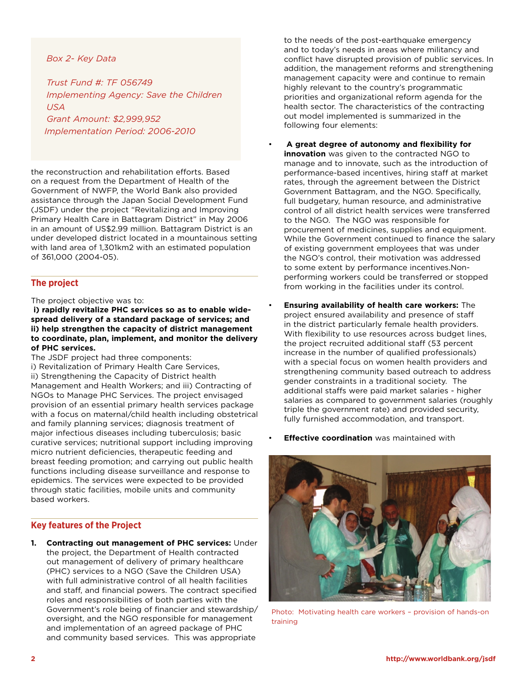### *Box 2- Key Data*

*Trust Fund #: TF 056749 Implementing Agency: Save the Children USA Grant Amount: \$2,999,952 Implementation Period: 2006-2010*

the reconstruction and rehabilitation efforts. Based on a request from the Department of Health of the Government of NWFP, the World Bank also provided assistance through the Japan Social Development Fund (JSDF) under the project "Revitalizing and Improving Primary Health Care in Battagram District" in May 2006 in an amount of US\$2.99 million. Battagram District is an under developed district located in a mountainous setting with land area of 1,301km2 with an estimated population of 361,000 (2004-05).

# **The project**

#### The project objective was to:

**i) rapidly revitalize PHC services so as to enable widespread delivery of a standard package of services; and ii) help strengthen the capacity of district management to coordinate, plan, implement, and monitor the delivery of PHC services.**

The JSDF project had three components: i) Revitalization of Primary Health Care Services, ii) Strengthening the Capacity of District health Management and Health Workers; and iii) Contracting of NGOs to Manage PHC Services. The project envisaged provision of an essential primary health services package with a focus on maternal/child health including obstetrical and family planning services; diagnosis treatment of major infectious diseases including tuberculosis; basic curative services; nutritional support including improving micro nutrient deficiencies, therapeutic feeding and breast feeding promotion; and carrying out public health functions including disease surveillance and response to epidemics. The services were expected to be provided through static facilities, mobile units and community based workers.

# **Key features of the Project**

**1. Contracting out management of PHC services:** Under the project, the Department of Health contracted out management of delivery of primary healthcare (PHC) services to a NGO (Save the Children USA) with full administrative control of all health facilities and staff, and financial powers. The contract specified roles and responsibilities of both parties with the Government's role being of financier and stewardship/ oversight, and the NGO responsible for management and implementation of an agreed package of PHC and community based services. This was appropriate

to the needs of the post-earthquake emergency and to today's needs in areas where militancy and conflict have disrupted provision of public services. In addition, the management reforms and strengthening management capacity were and continue to remain highly relevant to the country's programmatic priorities and organizational reform agenda for the health sector. The characteristics of the contracting out model implemented is summarized in the following four elements:

- • **A great degree of autonomy and flexibility for innovation** was given to the contracted NGO to manage and to innovate, such as the introduction of performance-based incentives, hiring staff at market rates, through the agreement between the District Government Battagram, and the NGO. Specifically, full budgetary, human resource, and administrative control of all district health services were transferred to the NGO. The NGO was responsible for procurement of medicines, supplies and equipment. While the Government continued to finance the salary of existing government employees that was under the NGO's control, their motivation was addressed to some extent by performance incentives.Nonperforming workers could be transferred or stopped from working in the facilities under its control.
- **Ensuring availability of health care workers:** The project ensured availability and presence of staff in the district particularly female health providers. With flexibility to use resources across budget lines, the project recruited additional staff (53 percent increase in the number of qualified professionals) with a special focus on women health providers and strengthening community based outreach to address gender constraints in a traditional society. The additional staffs were paid market salaries - higher salaries as compared to government salaries (roughly triple the government rate) and provided security, fully furnished accommodation, and transport.
- **Effective coordination** was maintained with



Photo: Motivating health care workers – provision of hands-on training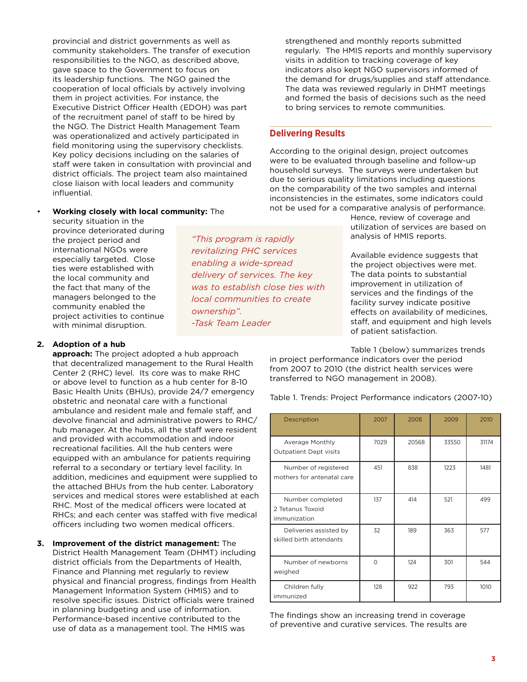provincial and district governments as well as community stakeholders. The transfer of execution responsibilities to the NGO, as described above, gave space to the Government to focus on its leadership functions. The NGO gained the cooperation of local officials by actively involving them in project activities. For instance, the Executive District Officer Health (EDOH) was part of the recruitment panel of staff to be hired by the NGO. The District Health Management Team was operationalized and actively participated in field monitoring using the supervisory checklists. Key policy decisions including on the salaries of staff were taken in consultation with provincial and district officials. The project team also maintained close liaison with local leaders and community influential.

#### • **Working closely with local community:** The

security situation in the province deteriorated during the project period and international NGOs were especially targeted. Close ties were established with the local community and the fact that many of the managers belonged to the community enabled the project activities to continue with minimal disruption.

### **2. Adoption of a hub**

**approach:** The project adopted a hub approach that decentralized management to the Rural Health Center 2 (RHC) level. Its core was to make RHC or above level to function as a hub center for 8-10 Basic Health Units (BHUs), provide 24/7 emergency obstetric and neonatal care with a functional ambulance and resident male and female staff, and devolve financial and administrative powers to RHC/ hub manager. At the hubs, all the staff were resident and provided with accommodation and indoor recreational facilities. All the hub centers were equipped with an ambulance for patients requiring referral to a secondary or tertiary level facility. In addition, medicines and equipment were supplied to the attached BHUs from the hub center. Laboratory services and medical stores were established at each RHC. Most of the medical officers were located at RHCs; and each center was staffed with five medical officers including two women medical officers.

**3. Improvement of the district management:** The District Health Management Team (DHMT) including district officials from the Departments of Health, Finance and Planning met regularly to review physical and financial progress, findings from Health Management Information System (HMIS) and to resolve specific issues. District officials were trained in planning budgeting and use of information. Performance-based incentive contributed to the use of data as a management tool. The HMIS was

strengthened and monthly reports submitted regularly. The HMIS reports and monthly supervisory visits in addition to tracking coverage of key indicators also kept NGO supervisors informed of the demand for drugs/supplies and staff attendance. The data was reviewed regularly in DHMT meetings and formed the basis of decisions such as the need to bring services to remote communities.

#### **Delivering Results**

According to the original design, project outcomes were to be evaluated through baseline and follow-up household surveys. The surveys were undertaken but due to serious quality limitations including questions on the comparability of the two samples and internal inconsistencies in the estimates, some indicators could not be used for a comparative analysis of performance.

> Hence, review of coverage and utilization of services are based on analysis of HMIS reports.

Available evidence suggests that the project objectives were met. The data points to substantial improvement in utilization of services and the findings of the facility survey indicate positive effects on availability of medicines, staff, and equipment and high levels of patient satisfaction.

Table 1 (below) summarizes trends in project performance indicators over the period from 2007 to 2010 (the district health services were transferred to NGO management in 2008).

Table 1. Trends: Project Performance indicators (2007-10)

| Description                                          | 2007     | 2008  | 2009  | 2010  |
|------------------------------------------------------|----------|-------|-------|-------|
| Average Monthly<br><b>Outpatient Dept visits</b>     | 7029     | 20568 | 33550 | 31174 |
| Number of registered<br>mothers for antenatal care   | 451      | 838   | 1223  | 1481  |
| Number completed<br>2 Tetanus Toxoid<br>immunization | 137      | 414   | 521   | 499   |
| Deliveries assisted by<br>skilled birth attendants   | 32       | 189   | 363   | 577   |
| Number of newborns<br>weighed                        | $\Omega$ | 124   | 301   | 544   |
| Children fully<br>immunized                          | 128      | 922   | 793   | 1010  |

The findings show an increasing trend in coverage of preventive and curative services. The results are

*revitalizing PHC services enabling a wide-spread delivery of services. The key was to establish close ties with local communities to create ownership". -Task Team Leader*

*"This program is rapidly*